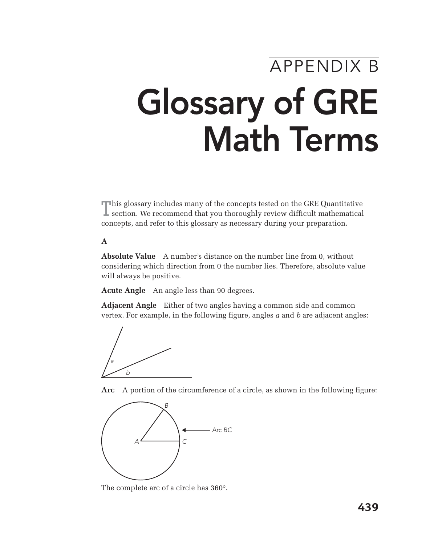# APPENDIX B Glossary of GRE Math Terms

This glossary includes many of the concepts tested on the GRE Quantitative section. We recommend that you thoroughly review difficult mathematical concepts, and refer to this glossary as necessary during your preparation.

#### **A**

**Absolute Value** A number's distance on the number line from 0, without considering which direction from 0 the number lies. Therefore, absolute value will always be positive.

**Acute Angle** An angle less than 90 degrees.

**Adjacent Angle** Either of two angles having a common side and common vertex. For example, in the following figure, angles *a* and *b* are adjacent angles:



**Arc** A portion of the circumference of a circle, as shown in the following figure:



The complete arc of a circle has 360°.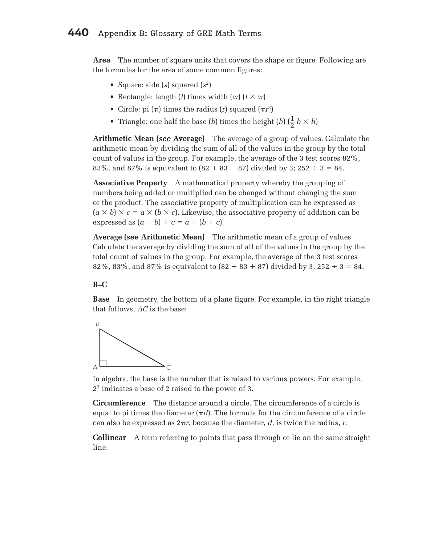**Area** The number of square units that covers the shape or figure. Following are the formulas for the area of some common figures:

- Square: side (*s*) squared (*s*2)
- Rectangle: length (*l*) times width  $(w)$  ( $l \times w$ )
- Circle: pi  $(\pi)$  times the radius (*r*) squared  $(\pi r^2)$
- Triangle: one half the base (*b*) times the height (*h*) ( $\frac{1}{2}$  *b*  $\times$  *h*)

**Arithmetic Mean (***see* **Average)** The average of a group of values. Calculate the arithmetic mean by dividing the sum of all of the values in the group by the total count of values in the group. For example, the average of the 3 test scores 82%, 83%, and 87% is equivalent to  $(82 + 83 + 87)$  divided by 3; 252  $\div$  3 = 84.

**Associative Property** A mathematical property whereby the grouping of numbers being added or multiplied can be changed without changing the sum or the product. The associative property of multiplication can be expressed as  $(a \times b) \times c = a \times (b \times c)$ . Likewise, the associative property of addition can be expressed as  $(a + b) + c = a + (b + c)$ .

**Average (***see* **Arithmetic Mean)** The arithmetic mean of a group of values. Calculate the average by dividing the sum of all of the values in the group by the total count of values in the group. For example, the average of the 3 test scores 82%, 83%, and 87% is equivalent to  $(82 + 83 + 87)$  divided by 3; 252  $\div$  3 = 84.

#### **B–C**

**Base** In geometry, the bottom of a plane figure. For example, in the right triangle that follows, *AC* is the base:



 In algebra, the base is the number that is raised to various powers. For example, 23 indicates a base of 2 raised to the power of 3.

**Circumference** The distance around a circle. The circumference of a circle is equal to pi times the diameter  $(\pi d)$ . The formula for the circumference of a circle can also be expressed as  $2\pi r$ , because the diameter, *d*, is twice the radius, *r*.

**Collinear** A term referring to points that pass through or lie on the same straight line.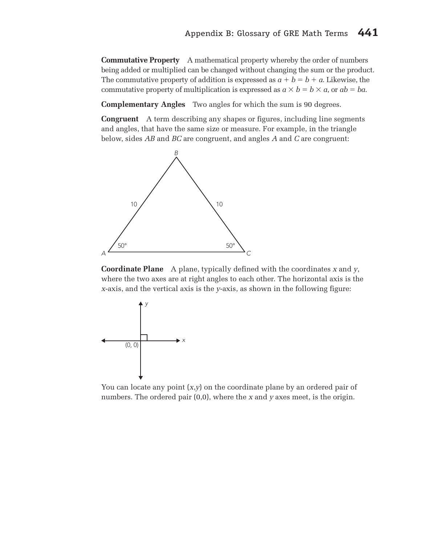**Commutative Property** A mathematical property whereby the order of numbers being added or multiplied can be changed without changing the sum or the product. The commutative property of addition is expressed as  $a + b = b + a$ . Likewise, the commutative property of multiplication is expressed as  $a \times b = b \times a$ , or  $ab = ba$ .

**Complementary Angles** Two angles for which the sum is 90 degrees.

**Congruent** A term describing any shapes or figures, including line segments and angles, that have the same size or measure. For example, in the triangle below, sides *AB* and *BC* are congruent, and angles *A* and *C* are congruent:



**Coordinate Plane** A plane, typically defined with the coordinates *x* and *y*, where the two axes are at right angles to each other. The horizontal axis is the *x*-axis, and the vertical axis is the *y*-axis, as shown in the following figure:



 You can locate any point (*x*,*y*) on the coordinate plane by an ordered pair of numbers. The ordered pair (0,0), where the *x* and *y* axes meet, is the origin.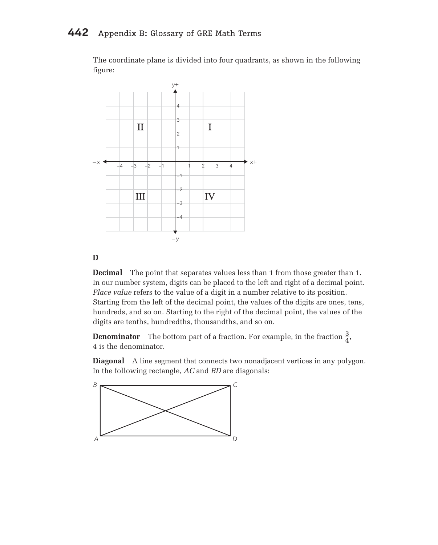The coordinate plane is divided into four quadrants, as shown in the following figure:



#### **D**

**Decimal** The point that separates values less than 1 from those greater than 1. In our number system, digits can be placed to the left and right of a decimal point. *Place value* refers to the value of a digit in a number relative to its position. Starting from the left of the decimal point, the values of the digits are ones, tens, hundreds, and so on. Starting to the right of the decimal point, the values of the digits are tenths, hundredths, thousandths, and so on.

**Denominator** The bottom part of a fraction. For example, in the fraction  $\frac{3}{4}$ , 4 is the denominator.

**Diagonal** A line segment that connects two nonadjacent vertices in any polygon. In the following rectangle, *AC* and *BD* are diagonals:

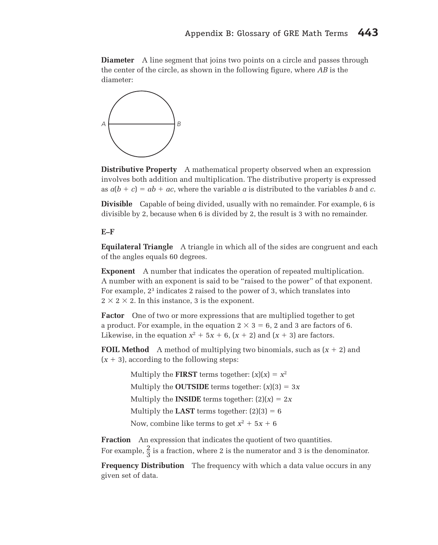**Diameter** A line segment that joins two points on a circle and passes through the center of the circle, as shown in the following figure, where *AB* is the diameter:



**Distributive Property** A mathematical property observed when an expression involves both addition and multiplication. The distributive property is expressed as  $a(b + c) = ab + ac$ , where the variable *a* is distributed to the variables *b* and *c*.

**Divisible** Capable of being divided, usually with no remainder. For example, 6 is divisible by 2, because when 6 is divided by 2, the result is 3 with no remainder.

## **E–F**

**Equilateral Triangle** A triangle in which all of the sides are congruent and each of the angles equals 60 degrees.

**Exponent** A number that indicates the operation of repeated multiplication. A number with an exponent is said to be "raised to the power" of that exponent. For example, 23 indicates 2 raised to the power of 3, which translates into  $2 \times 2 \times 2$ . In this instance, 3 is the exponent.

**Factor** One of two or more expressions that are multiplied together to get a product. For example, in the equation  $2 \times 3 = 6$ , 2 and 3 are factors of 6. Likewise, in the equation  $x^2 + 5x + 6$ ,  $(x + 2)$  and  $(x + 3)$  are factors.

**FOIL Method** A method of multiplying two binomials, such as  $(x + 2)$  and  $(x + 3)$ , according to the following steps:

> Multiply the **FIRST** terms together:  $(x)(x) = x^2$ Multiply the **OUTSIDE** terms together:  $(x)(3) = 3x$ Multiply the **INSIDE** terms together:  $(2)(x) = 2x$ Multiply the **LAST** terms together:  $(2)(3) = 6$ Now, combine like terms to get  $x^2 + 5x + 6$

**Fraction** An expression that indicates the quotient of two quantities. For example,  $\frac{2}{3}$  is a fraction, where 2 is the numerator and 3 is the denominator.

**Frequency Distribution** The frequency with which a data value occurs in any given set of data.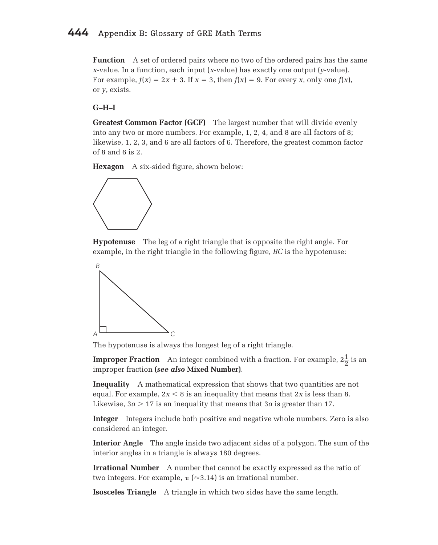**Function** A set of ordered pairs where no two of the ordered pairs has the same *x*-value. In a function, each input (*x*-value) has exactly one output (*y*-value). For example,  $f(x) = 2x + 3$ . If  $x = 3$ , then  $f(x) = 9$ . For every *x*, only one  $f(x)$ , or *y*, exists.

## **G–H–I**

**Greatest Common Factor (GCF)** The largest number that will divide evenly into any two or more numbers. For example, 1, 2, 4, and 8 are all factors of 8; likewise, 1, 2, 3, and 6 are all factors of 6. Therefore, the greatest common factor of 8 and 6 is 2.

**Hexagon** A six-sided figure, shown below:



**Hypotenuse** The leg of a right triangle that is opposite the right angle. For example, in the right triangle in the following figure, *BC* is the hypotenuse:



The hypotenuse is always the longest leg of a right triangle.

**Improper Fraction** An integer combined with a fraction. For example,  $2\frac{1}{2}$  is an improper fraction **(***see also* **Mixed Number)**.

**Inequality** A mathematical expression that shows that two quantities are not equal. For example,  $2x < 8$  is an inequality that means that  $2x$  is less than 8. Likewise,  $3a > 17$  is an inequality that means that  $3a$  is greater than 17.

**Integer** Integers include both positive and negative whole numbers. Zero is also considered an integer.

**Interior Angle** The angle inside two adjacent sides of a polygon. The sum of the interior angles in a triangle is always 180 degrees.

**Irrational Number** A number that cannot be exactly expressed as the ratio of two integers. For example,  $\pi$  (≈3.14) is an irrational number.

**Isosceles Triangle** A triangle in which two sides have the same length.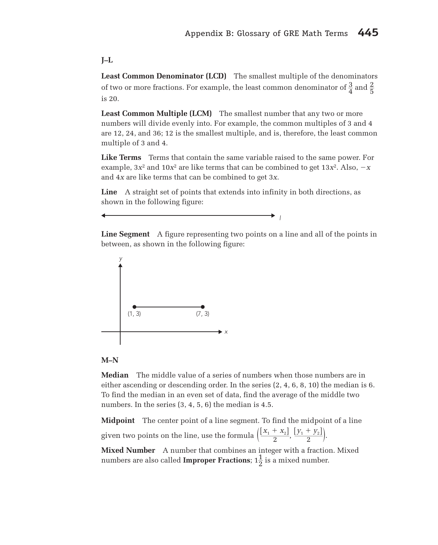## **J–L**

**Least Common Denominator (LCD)** The smallest multiple of the denominators of two or more fractions. For example, the least common denominator of  $\frac{3}{4}$  and  $\frac{2}{5}$ is 20.

**Least Common Multiple (LCM)** The smallest number that any two or more numbers will divide evenly into. For example, the common multiples of 3 and 4 are 12, 24, and 36; 12 is the smallest multiple, and is, therefore, the least common multiple of 3 and 4.

**Like Terms** Terms that contain the same variable raised to the same power. For example,  $3x^2$  and  $10x^2$  are like terms that can be combined to get  $13x^2$ . Also,  $-x$ and 4*x* are like terms that can be combined to get 3*x*.

**Line** A straight set of points that extends into infinity in both directions, as shown in the following figure:

**Line Segment** A figure representing two points on a line and all of the points in between, as shown in the following figure:

 $\rightarrow$  l



## **M–N**

**Median** The middle value of a series of numbers when those numbers are in either ascending or descending order. In the series (2, 4, 6, 8, 10) the median is 6. To find the median in an even set of data, find the average of the middle two numbers. In the series (3, 4, 5, 6) the median is 4.5.

**Midpoint** The center point of a line segment. To find the midpoint of a line given two points on the line, use the formula  $\left(\frac{[x_1 + x_2]}{2}, \frac{[y_1 + y_2]}{2}\right)$ .

**Mixed Number** A number that combines an integer with a fraction. Mixed numbers are also called **Improper Fractions**;  $1\frac{1}{2}$  is a mixed number.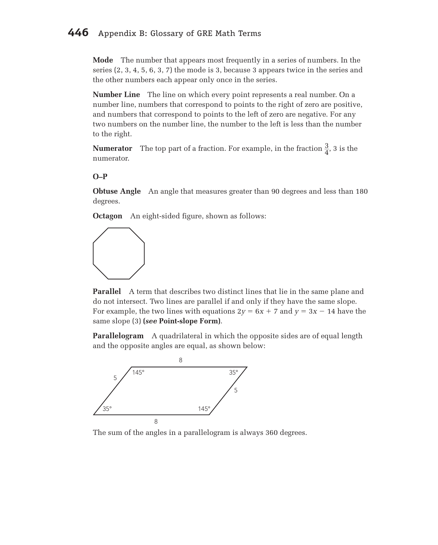# **446** Appendix B: Glossary of GRE Math Terms

**Mode** The number that appears most frequently in a series of numbers. In the series (2, 3, 4, 5, 6, 3, 7) the mode is 3, because 3 appears twice in the series and the other numbers each appear only once in the series.

**Number Line** The line on which every point represents a real number. On a number line, numbers that correspond to points to the right of zero are positive, and numbers that correspond to points to the left of zero are negative. For any two numbers on the number line, the number to the left is less than the number to the right.

**Numerator** The top part of a fraction. For example, in the fraction  $\frac{3}{4}$ , 3 is the numerator.

#### **O–P**

**Obtuse Angle** An angle that measures greater than 90 degrees and less than 180 degrees.

**Octagon** An eight-sided figure, shown as follows:



**Parallel** A term that describes two distinct lines that lie in the same plane and do not intersect. Two lines are parallel if and only if they have the same slope. For example, the two lines with equations  $2y = 6x + 7$  and  $y = 3x - 14$  have the same slope (3) **(***see* **Point-slope Form)**.

**Parallelogram** A quadrilateral in which the opposite sides are of equal length and the opposite angles are equal, as shown below:



The sum of the angles in a parallelogram is always 360 degrees.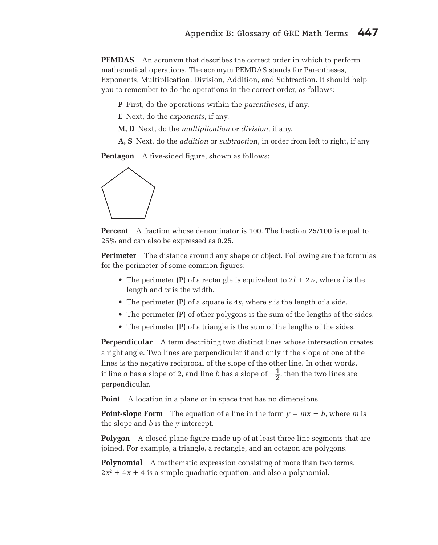**PEMDAS** An acronym that describes the correct order in which to perform mathematical operations. The acronym PEMDAS stands for Parentheses, Exponents, Multiplication, Division, Addition, and Subtraction. It should help you to remember to do the operations in the correct order, as follows:

**P** First, do the operations within the *parentheses*, if any.

**E** Next, do the *exponents*, if any.

**M, D** Next, do the *multiplication* or *division*, if any.

**A, S** Next, do the *addition* or *subtraction*, in order from left to right, if any.

**Pentagon** A five-sided figure, shown as follows:



**Percent** A fraction whose denominator is 100. The fraction 25/100 is equal to 25% and can also be expressed as 0.25.

**Perimeter** The distance around any shape or object. Following are the formulas for the perimeter of some common figures:

- The perimeter (P) of a rectangle is equivalent to  $2l + 2w$ , where *l* is the length and *w* is the width.
- The perimeter (P) of a square is 4*s*, where *s* is the length of a side.
- The perimeter (P) of other polygons is the sum of the lengths of the sides.
- The perimeter (P) of a triangle is the sum of the lengths of the sides.

**Perpendicular** A term describing two distinct lines whose intersection creates a right angle. Two lines are perpendicular if and only if the slope of one of the lines is the negative reciprocal of the slope of the other line. In other words, if line *a* has a slope of 2, and line *b* has a slope of  $-\frac{1}{2}$ , then the two lines are perpendicular.

**Point** A location in a plane or in space that has no dimensions.

**Point-slope Form** The equation of a line in the form  $y = mx + b$ , where *m* is the slope and *b* is the *y*-intercept.

**Polygon** A closed plane figure made up of at least three line segments that are joined. For example, a triangle, a rectangle, and an octagon are polygons.

**Polynomial** A mathematic expression consisting of more than two terms.  $2x^2 + 4x + 4$  is a simple quadratic equation, and also a polynomial.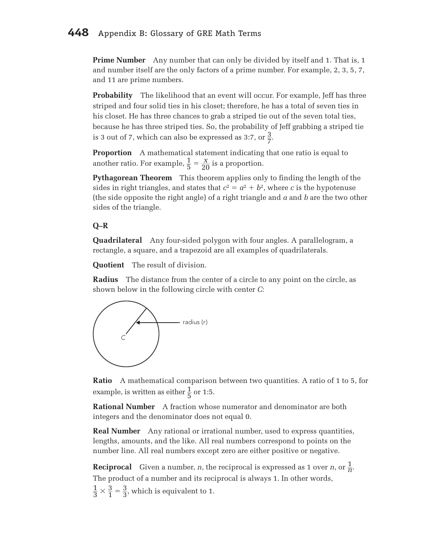# **448** Appendix B: Glossary of GRE Math Terms

**Prime Number** Any number that can only be divided by itself and 1. That is, 1 and number itself are the only factors of a prime number. For example, 2, 3, 5, 7, and 11 are prime numbers.

**Probability** The likelihood that an event will occur. For example, Jeff has three striped and four solid ties in his closet; therefore, he has a total of seven ties in his closet. He has three chances to grab a striped tie out of the seven total ties, because he has three striped ties. So, the probability of Jeff grabbing a striped tie is 3 out of 7, which can also be expressed as 3:7, or  $\frac{3}{7}$ .

**Proportion** A mathematical statement indicating that one ratio is equal to another ratio. For example,  $\frac{1}{5} = \frac{X}{20}$  is a proportion.

**Pythagorean Theorem** This theorem applies only to finding the length of the sides in right triangles, and states that  $c^2 = a^2 + b^2$ , where *c* is the hypotenuse (the side opposite the right angle) of a right triangle and *a* and *b* are the two other sides of the triangle.

## **Q–R**

**Quadrilateral** Any four-sided polygon with four angles. A parallelogram, a rectangle, a square, and a trapezoid are all examples of quadrilaterals.

**Quotient** The result of division.

**Radius** The distance from the center of a circle to any point on the circle, as shown below in the following circle with center *C*:



**Ratio** A mathematical comparison between two quantities. A ratio of 1 to 5, for example, is written as either  $\frac{1}{5}$  or 1:5.

**Rational Number** A fraction whose numerator and denominator are both integers and the denominator does not equal 0.

**Real Number** Any rational or irrational number, used to express quantities, lengths, amounts, and the like. All real numbers correspond to points on the number line. All real numbers except zero are either positive or negative.

**Reciprocal** Given a number, *n*, the reciprocal is expressed as 1 over *n*, or  $\frac{1}{n}$ . The product of a number and its reciprocal is always 1. In other words,

 $\frac{1}{3} \times \frac{3}{1} = \frac{3}{3}$ , which is equivalent to 1.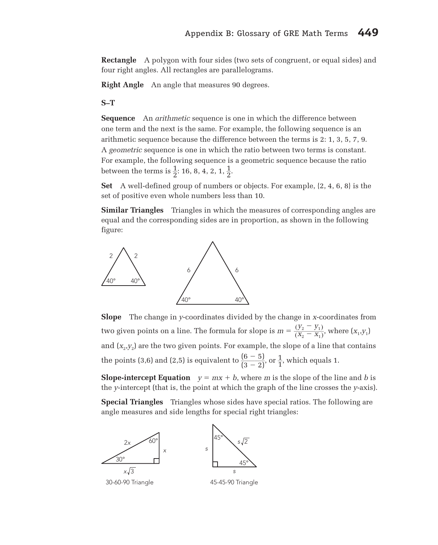**Rectangle** A polygon with four sides (two sets of congruent, or equal sides) and four right angles. All rectangles are parallelograms.

**Right Angle** An angle that measures 90 degrees.

**S–T**

**Sequence** An *arithmetic* sequence is one in which the difference between one term and the next is the same. For example, the following sequence is an arithmetic sequence because the difference between the terms is 2: 1, 3, 5, 7, 9. A *geometric* sequence is one in which the ratio between two terms is constant. For example, the following sequence is a geometric sequence because the ratio between the terms is  $\frac{1}{2}$ : 16, 8, 4, 2, 1,  $\frac{1}{2}$ .

**Set** A well-defined group of numbers or objects. For example, {2, 4, 6, 8} is the set of positive even whole numbers less than 10.

**Similar Triangles** Triangles in which the measures of corresponding angles are equal and the corresponding sides are in proportion, as shown in the following figure:



**Slope** The change in *y*-coordinates divided by the change in *x*-coordinates from two given points on a line. The formula for slope is  $m = \frac{(y_2 - y_1)}{(x - x_2)}$  $\frac{(y_2 - y_1)}{(X_2 - X_1)}$ , where  $(x_1, y_1)$ and  $(x_2, y_2)$  are the two given points. For example, the slope of a line that contains the points (3,6) and (2,5) is equivalent to  $\frac{(6-5)}{(3-2)}$ , or  $\frac{1}{1}$ , which equals 1.

**Slope-intercept Equation**  $y = mx + b$ , where *m* is the slope of the line and *b* is the *y*-intercept (that is, the point at which the graph of the line crosses the *y*-axis).

**Special Triangles** Triangles whose sides have special ratios. The following are angle measures and side lengths for special right triangles: